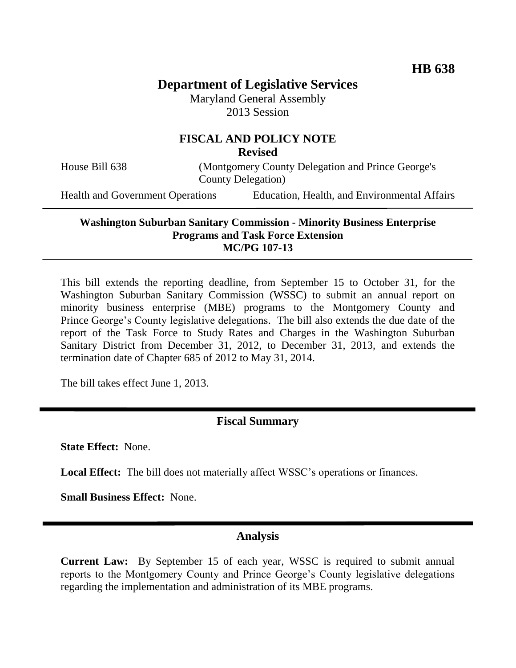## **Department of Legislative Services**

Maryland General Assembly 2013 Session

# **FISCAL AND POLICY NOTE**

**Revised**

House Bill 638 (Montgomery County Delegation and Prince George's County Delegation)

Health and Government Operations Education, Health, and Environmental Affairs

## **Washington Suburban Sanitary Commission - Minority Business Enterprise Programs and Task Force Extension MC/PG 107-13**

This bill extends the reporting deadline, from September 15 to October 31, for the Washington Suburban Sanitary Commission (WSSC) to submit an annual report on minority business enterprise (MBE) programs to the Montgomery County and Prince George's County legislative delegations. The bill also extends the due date of the report of the Task Force to Study Rates and Charges in the Washington Suburban Sanitary District from December 31, 2012, to December 31, 2013, and extends the termination date of Chapter 685 of 2012 to May 31, 2014.

The bill takes effect June 1, 2013.

## **Fiscal Summary**

**State Effect:** None.

**Local Effect:** The bill does not materially affect WSSC's operations or finances.

**Small Business Effect:** None.

#### **Analysis**

**Current Law:** By September 15 of each year, WSSC is required to submit annual reports to the Montgomery County and Prince George's County legislative delegations regarding the implementation and administration of its MBE programs.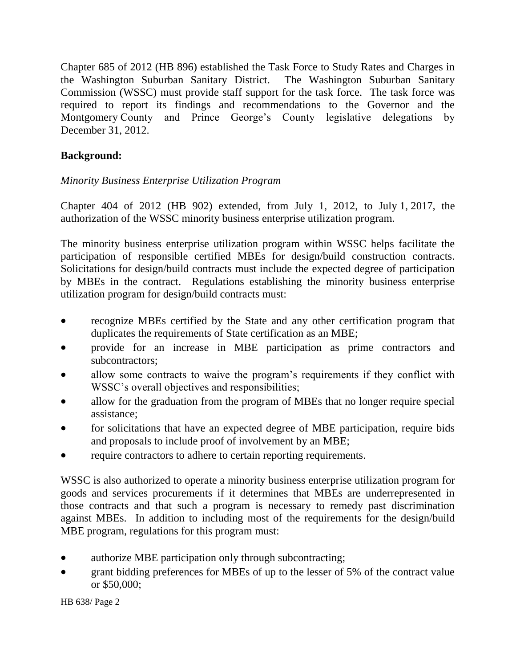Chapter 685 of 2012 (HB 896) established the Task Force to Study Rates and Charges in the Washington Suburban Sanitary District. The Washington Suburban Sanitary Commission (WSSC) must provide staff support for the task force. The task force was required to report its findings and recommendations to the Governor and the Montgomery County and Prince George's County legislative delegations by December 31, 2012.

## **Background:**

## *Minority Business Enterprise Utilization Program*

Chapter 404 of 2012 (HB 902) extended, from July 1, 2012, to July 1, 2017, the authorization of the WSSC minority business enterprise utilization program.

The minority business enterprise utilization program within WSSC helps facilitate the participation of responsible certified MBEs for design/build construction contracts. Solicitations for design/build contracts must include the expected degree of participation by MBEs in the contract. Regulations establishing the minority business enterprise utilization program for design/build contracts must:

- recognize MBEs certified by the State and any other certification program that duplicates the requirements of State certification as an MBE;
- provide for an increase in MBE participation as prime contractors and subcontractors;
- allow some contracts to waive the program's requirements if they conflict with WSSC's overall objectives and responsibilities;
- allow for the graduation from the program of MBEs that no longer require special assistance;
- for solicitations that have an expected degree of MBE participation, require bids and proposals to include proof of involvement by an MBE;
- require contractors to adhere to certain reporting requirements.

WSSC is also authorized to operate a minority business enterprise utilization program for goods and services procurements if it determines that MBEs are underrepresented in those contracts and that such a program is necessary to remedy past discrimination against MBEs. In addition to including most of the requirements for the design/build MBE program, regulations for this program must:

- authorize MBE participation only through subcontracting;
- grant bidding preferences for MBEs of up to the lesser of 5% of the contract value or \$50,000;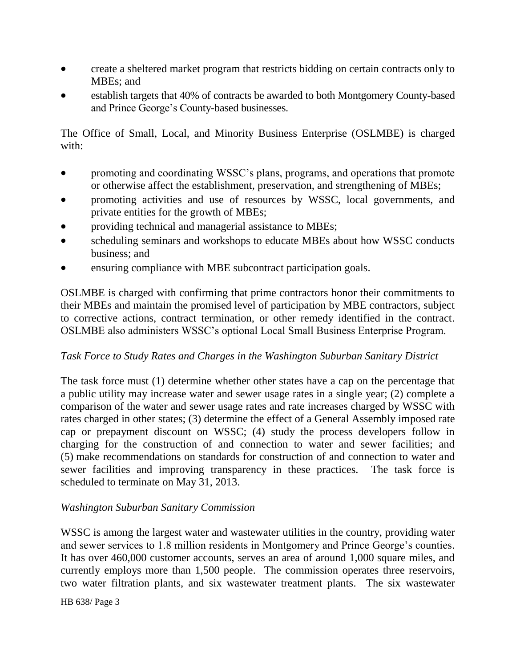- create a sheltered market program that restricts bidding on certain contracts only to MBEs; and
- establish targets that 40% of contracts be awarded to both Montgomery County-based and Prince George's County-based businesses.

The Office of Small, Local, and Minority Business Enterprise (OSLMBE) is charged with:

- promoting and coordinating WSSC's plans, programs, and operations that promote or otherwise affect the establishment, preservation, and strengthening of MBEs;
- promoting activities and use of resources by WSSC, local governments, and private entities for the growth of MBEs;
- providing technical and managerial assistance to MBEs;
- scheduling seminars and workshops to educate MBEs about how WSSC conducts business; and
- ensuring compliance with MBE subcontract participation goals.

OSLMBE is charged with confirming that prime contractors honor their commitments to their MBEs and maintain the promised level of participation by MBE contractors, subject to corrective actions, contract termination, or other remedy identified in the contract. OSLMBE also administers WSSC's optional Local Small Business Enterprise Program.

## *Task Force to Study Rates and Charges in the Washington Suburban Sanitary District*

The task force must (1) determine whether other states have a cap on the percentage that a public utility may increase water and sewer usage rates in a single year; (2) complete a comparison of the water and sewer usage rates and rate increases charged by WSSC with rates charged in other states; (3) determine the effect of a General Assembly imposed rate cap or prepayment discount on WSSC; (4) study the process developers follow in charging for the construction of and connection to water and sewer facilities; and (5) make recommendations on standards for construction of and connection to water and sewer facilities and improving transparency in these practices. The task force is scheduled to terminate on May 31, 2013.

## *Washington Suburban Sanitary Commission*

WSSC is among the largest water and wastewater utilities in the country, providing water and sewer services to 1.8 million residents in Montgomery and Prince George's counties. It has over 460,000 customer accounts, serves an area of around 1,000 square miles, and currently employs more than 1,500 people. The commission operates three reservoirs, two water filtration plants, and six wastewater treatment plants. The six wastewater